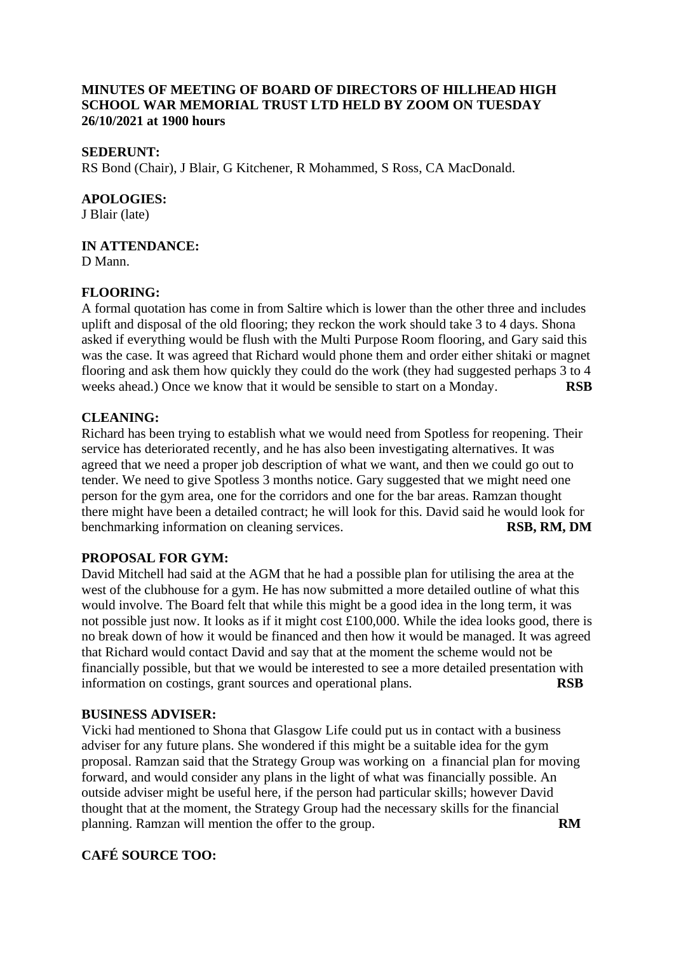## **MINUTES OF MEETING OF BOARD OF DIRECTORS OF HILLHEAD HIGH SCHOOL WAR MEMORIAL TRUST LTD HELD BY ZOOM ON TUESDAY 26/10/2021 at 1900 hours**

#### **SEDERUNT:**

RS Bond (Chair), J Blair, G Kitchener, R Mohammed, S Ross, CA MacDonald.

#### **APOLOGIES:**

J Blair (late)

## **IN ATTENDANCE:**

D Mann.

## **FLOORING:**

A formal quotation has come in from Saltire which is lower than the other three and includes uplift and disposal of the old flooring; they reckon the work should take 3 to 4 days. Shona asked if everything would be flush with the Multi Purpose Room flooring, and Gary said this was the case. It was agreed that Richard would phone them and order either shitaki or magnet flooring and ask them how quickly they could do the work (they had suggested perhaps 3 to 4 weeks ahead.) Once we know that it would be sensible to start on a Monday. **RSB** 

## **CLEANING:**

Richard has been trying to establish what we would need from Spotless for reopening. Their service has deteriorated recently, and he has also been investigating alternatives. It was agreed that we need a proper job description of what we want, and then we could go out to tender. We need to give Spotless 3 months notice. Gary suggested that we might need one person for the gym area, one for the corridors and one for the bar areas. Ramzan thought there might have been a detailed contract; he will look for this. David said he would look for benchmarking information on cleaning services. **RSB, RM, DM** 

#### **PROPOSAL FOR GYM:**

David Mitchell had said at the AGM that he had a possible plan for utilising the area at the west of the clubhouse for a gym. He has now submitted a more detailed outline of what this would involve. The Board felt that while this might be a good idea in the long term, it was not possible just now. It looks as if it might cost £100,000. While the idea looks good, there is no break down of how it would be financed and then how it would be managed. It was agreed that Richard would contact David and say that at the moment the scheme would not be financially possible, but that we would be interested to see a more detailed presentation with information on costings, grant sources and operational plans. **RSB**

#### **BUSINESS ADVISER:**

Vicki had mentioned to Shona that Glasgow Life could put us in contact with a business adviser for any future plans. She wondered if this might be a suitable idea for the gym proposal. Ramzan said that the Strategy Group was working on a financial plan for moving forward, and would consider any plans in the light of what was financially possible. An outside adviser might be useful here, if the person had particular skills; however David thought that at the moment, the Strategy Group had the necessary skills for the financial planning. Ramzan will mention the offer to the group. **RM**

# **CAFÉ SOURCE TOO:**